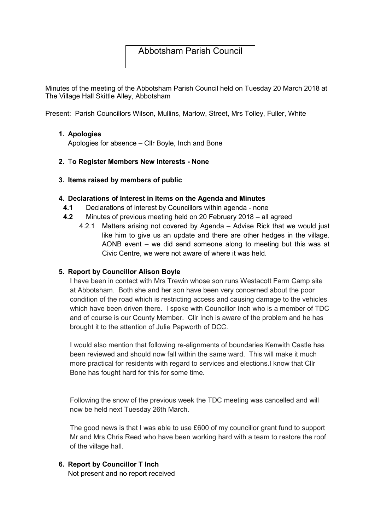## Abbotsham Parish Council

Minutes of the meeting of the Abbotsham Parish Council held on Tuesday 20 March 2018 at The Village Hall Skittle Alley, Abbotsham

Present: Parish Councillors Wilson, Mullins, Marlow, Street, Mrs Tolley, Fuller, White

#### 1. Apologies

Apologies for absence – Cllr Boyle, Inch and Bone

#### 2. To Register Members New Interests - None

#### 3. Items raised by members of public

#### 4. Declarations of Interest in Items on the Agenda and Minutes

- 4.1 Declarations of interest by Councillors within agenda none
- 4.2 Minutes of previous meeting held on 20 February 2018 all agreed
	- 4.2.1 Matters arising not covered by Agenda Advise Rick that we would just like him to give us an update and there are other hedges in the village. AONB event – we did send someone along to meeting but this was at Civic Centre, we were not aware of where it was held.

#### 5. Report by Councillor Alison Boyle

I have been in contact with Mrs Trewin whose son runs Westacott Farm Camp site at Abbotsham. Both she and her son have been very concerned about the poor condition of the road which is restricting access and causing damage to the vehicles which have been driven there. I spoke with Councillor Inch who is a member of TDC and of course is our County Member. Cllr Inch is aware of the problem and he has brought it to the attention of Julie Papworth of DCC.

I would also mention that following re-alignments of boundaries Kenwith Castle has been reviewed and should now fall within the same ward. This will make it much more practical for residents with regard to services and elections.I know that Cllr Bone has fought hard for this for some time.

Following the snow of the previous week the TDC meeting was cancelled and will now be held next Tuesday 26th March.

The good news is that I was able to use £600 of my councillor grant fund to support Mr and Mrs Chris Reed who have been working hard with a team to restore the roof of the village hall.

# 6. Report by Councillor T Inch

Not present and no report received